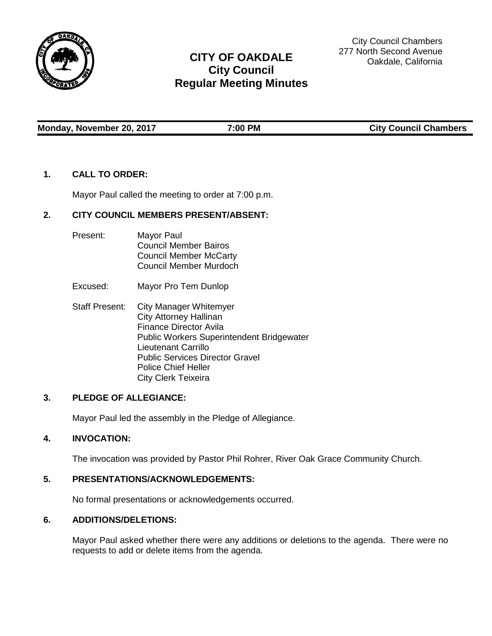

# **CITY OF OAKDALE City Council Regular Meeting Minutes**

City Council Chambers 277 North Second Avenue Oakdale, California

Monday, November 20, 2017 **7:00 PM** 7:00 PM City Council Chambers

# **1. CALL TO ORDER:**

Mayor Paul called the meeting to order at 7:00 p.m.

# **2. CITY COUNCIL MEMBERS PRESENT/ABSENT:**

- Present: Mayor Paul Council Member Bairos Council Member McCarty Council Member Murdoch
- Excused: Mayor Pro Tem Dunlop
- Staff Present: City Manager Whitemyer City Attorney Hallinan Finance Director Avila Public Workers Superintendent Bridgewater Lieutenant Carrillo Public Services Director Gravel Police Chief Heller City Clerk Teixeira

# **3. PLEDGE OF ALLEGIANCE:**

Mayor Paul led the assembly in the Pledge of Allegiance.

# **4. INVOCATION:**

The invocation was provided by Pastor Phil Rohrer, River Oak Grace Community Church.

# **5. PRESENTATIONS/ACKNOWLEDGEMENTS:**

No formal presentations or acknowledgements occurred.

## **6. ADDITIONS/DELETIONS:**

Mayor Paul asked whether there were any additions or deletions to the agenda. There were no requests to add or delete items from the agenda.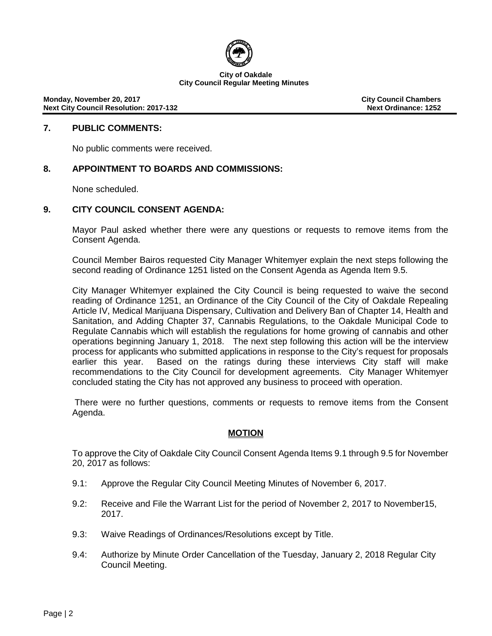

**Monday, November 20, 2017 City Council Chambers Next City Council Resolution: 2017-132** 

## **7. PUBLIC COMMENTS:**

No public comments were received.

# **8. APPOINTMENT TO BOARDS AND COMMISSIONS:**

None scheduled.

## **9. CITY COUNCIL CONSENT AGENDA:**

Mayor Paul asked whether there were any questions or requests to remove items from the Consent Agenda.

Council Member Bairos requested City Manager Whitemyer explain the next steps following the second reading of Ordinance 1251 listed on the Consent Agenda as Agenda Item 9.5.

City Manager Whitemyer explained the City Council is being requested to waive the second reading of Ordinance 1251, an Ordinance of the City Council of the City of Oakdale Repealing Article IV, Medical Marijuana Dispensary, Cultivation and Delivery Ban of Chapter 14, Health and Sanitation, and Adding Chapter 37, Cannabis Regulations, to the Oakdale Municipal Code to Regulate Cannabis which will establish the regulations for home growing of cannabis and other operations beginning January 1, 2018. The next step following this action will be the interview process for applicants who submitted applications in response to the City's request for proposals earlier this year. Based on the ratings during these interviews City staff will make recommendations to the City Council for development agreements. City Manager Whitemyer concluded stating the City has not approved any business to proceed with operation.

There were no further questions, comments or requests to remove items from the Consent Agenda.

## **MOTION**

To approve the City of Oakdale City Council Consent Agenda Items 9.1 through 9.5 for November 20, 2017 as follows:

- 9.1: Approve the Regular City Council Meeting Minutes of November 6, 2017.
- 9.2: Receive and File the Warrant List for the period of November 2, 2017 to November15, 2017.
- 9.3: Waive Readings of Ordinances/Resolutions except by Title.
- 9.4: Authorize by Minute Order Cancellation of the Tuesday, January 2, 2018 Regular City Council Meeting.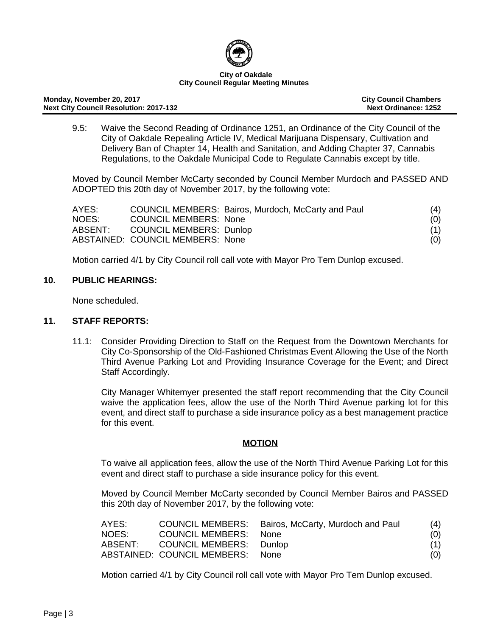

#### **Monday, November 20, 2017 City Council Chambers Next City Council Resolution: 2017-132**

9.5: Waive the Second Reading of Ordinance 1251, an Ordinance of the City Council of the City of Oakdale Repealing Article IV, Medical Marijuana Dispensary, Cultivation and Delivery Ban of Chapter 14, Health and Sanitation, and Adding Chapter 37, Cannabis Regulations, to the Oakdale Municipal Code to Regulate Cannabis except by title.

Moved by Council Member McCarty seconded by Council Member Murdoch and PASSED AND ADOPTED this 20th day of November 2017, by the following vote:

| AYES:   |                                  | COUNCIL MEMBERS: Bairos, Murdoch, McCarty and Paul | (4) |
|---------|----------------------------------|----------------------------------------------------|-----|
| NOES:   | <b>COUNCIL MEMBERS: None</b>     |                                                    | (0) |
| ABSENT: | <b>COUNCIL MEMBERS: Dunlop</b>   |                                                    |     |
|         | ABSTAINED: COUNCIL MEMBERS: None |                                                    | (0) |

Motion carried 4/1 by City Council roll call vote with Mayor Pro Tem Dunlop excused.

# **10. PUBLIC HEARINGS:**

None scheduled.

# **11. STAFF REPORTS:**

11.1: Consider Providing Direction to Staff on the Request from the Downtown Merchants for City Co-Sponsorship of the Old-Fashioned Christmas Event Allowing the Use of the North Third Avenue Parking Lot and Providing Insurance Coverage for the Event; and Direct Staff Accordingly.

City Manager Whitemyer presented the staff report recommending that the City Council waive the application fees, allow the use of the North Third Avenue parking lot for this event, and direct staff to purchase a side insurance policy as a best management practice for this event.

# **MOTION**

To waive all application fees, allow the use of the North Third Avenue Parking Lot for this event and direct staff to purchase a side insurance policy for this event.

Moved by Council Member McCarty seconded by Council Member Bairos and PASSED this 20th day of November 2017, by the following vote:

| AYES: |                                  | COUNCIL MEMBERS: Bairos, McCarty, Murdoch and Paul | (4) |
|-------|----------------------------------|----------------------------------------------------|-----|
| NOES: | COUNCIL MEMBERS: None            |                                                    | (0) |
|       | ABSENT: COUNCIL MEMBERS: Dunlop  |                                                    | (1) |
|       | ABSTAINED: COUNCIL MEMBERS: None |                                                    | (0) |

Motion carried 4/1 by City Council roll call vote with Mayor Pro Tem Dunlop excused.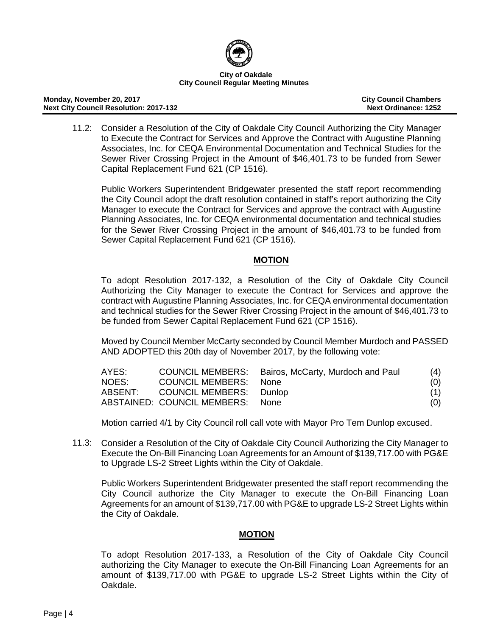

#### **Monday, November 20, 2017 City Council Chambers Next City Council Resolution: 2017-132**

11.2: Consider a Resolution of the City of Oakdale City Council Authorizing the City Manager to Execute the Contract for Services and Approve the Contract with Augustine Planning Associates, Inc. for CEQA Environmental Documentation and Technical Studies for the Sewer River Crossing Project in the Amount of \$46,401.73 to be funded from Sewer Capital Replacement Fund 621 (CP 1516).

Public Workers Superintendent Bridgewater presented the staff report recommending the City Council adopt the draft resolution contained in staff's report authorizing the City Manager to execute the Contract for Services and approve the contract with Augustine Planning Associates, Inc. for CEQA environmental documentation and technical studies for the Sewer River Crossing Project in the amount of \$46,401.73 to be funded from Sewer Capital Replacement Fund 621 (CP 1516).

# **MOTION**

To adopt Resolution 2017-132, a Resolution of the City of Oakdale City Council Authorizing the City Manager to execute the Contract for Services and approve the contract with Augustine Planning Associates, Inc. for CEQA environmental documentation and technical studies for the Sewer River Crossing Project in the amount of \$46,401.73 to be funded from Sewer Capital Replacement Fund 621 (CP 1516).

Moved by Council Member McCarty seconded by Council Member Murdoch and PASSED AND ADOPTED this 20th day of November 2017, by the following vote:

| AYES: |                                  | COUNCIL MEMBERS: Bairos, McCarty, Murdoch and Paul | (4) |
|-------|----------------------------------|----------------------------------------------------|-----|
| NOES: | COUNCIL MEMBERS: None            |                                                    | (0) |
|       | ABSENT: COUNCIL MEMBERS: Dunlop  |                                                    | (1) |
|       | ABSTAINED: COUNCIL MEMBERS: None |                                                    | (0) |

Motion carried 4/1 by City Council roll call vote with Mayor Pro Tem Dunlop excused.

11.3: Consider a Resolution of the City of Oakdale City Council Authorizing the City Manager to Execute the On-Bill Financing Loan Agreements for an Amount of \$139,717.00 with PG&E to Upgrade LS-2 Street Lights within the City of Oakdale.

Public Workers Superintendent Bridgewater presented the staff report recommending the City Council authorize the City Manager to execute the On-Bill Financing Loan Agreements for an amount of \$139,717.00 with PG&E to upgrade LS-2 Street Lights within the City of Oakdale.

# **MOTION**

To adopt Resolution 2017-133, a Resolution of the City of Oakdale City Council authorizing the City Manager to execute the On-Bill Financing Loan Agreements for an amount of \$139,717.00 with PG&E to upgrade LS-2 Street Lights within the City of Oakdale.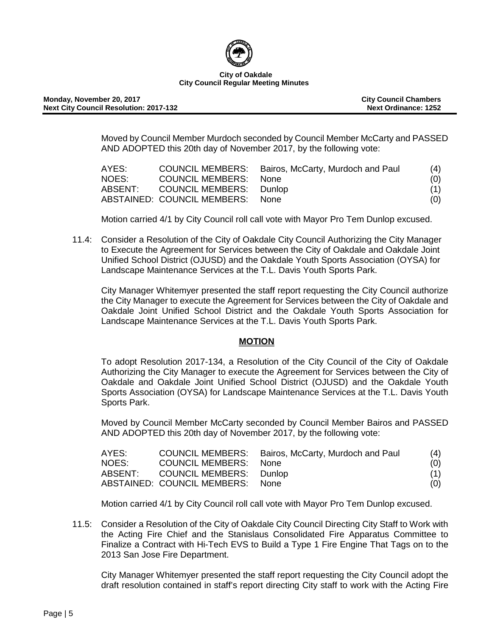

#### **Monday, November 20, 2017 City Council Chambers Next City Council Resolution: 2017-132**

Moved by Council Member Murdoch seconded by Council Member McCarty and PASSED AND ADOPTED this 20th day of November 2017, by the following vote:

| AYES: |                                  | COUNCIL MEMBERS: Bairos, McCarty, Murdoch and Paul | (4) |
|-------|----------------------------------|----------------------------------------------------|-----|
| NOES: | COUNCIL MEMBERS: None            |                                                    | (0) |
|       | ABSENT: COUNCIL MEMBERS: Dunlop  |                                                    | (1) |
|       | ABSTAINED: COUNCIL MEMBERS: None |                                                    | (0) |

Motion carried 4/1 by City Council roll call vote with Mayor Pro Tem Dunlop excused.

11.4: Consider a Resolution of the City of Oakdale City Council Authorizing the City Manager to Execute the Agreement for Services between the City of Oakdale and Oakdale Joint Unified School District (OJUSD) and the Oakdale Youth Sports Association (OYSA) for Landscape Maintenance Services at the T.L. Davis Youth Sports Park.

City Manager Whitemyer presented the staff report requesting the City Council authorize the City Manager to execute the Agreement for Services between the City of Oakdale and Oakdale Joint Unified School District and the Oakdale Youth Sports Association for Landscape Maintenance Services at the T.L. Davis Youth Sports Park.

# **MOTION**

To adopt Resolution 2017-134, a Resolution of the City Council of the City of Oakdale Authorizing the City Manager to execute the Agreement for Services between the City of Oakdale and Oakdale Joint Unified School District (OJUSD) and the Oakdale Youth Sports Association (OYSA) for Landscape Maintenance Services at the T.L. Davis Youth Sports Park.

Moved by Council Member McCarty seconded by Council Member Bairos and PASSED AND ADOPTED this 20th day of November 2017, by the following vote:

| AYES: |                                  | COUNCIL MEMBERS: Bairos, McCarty, Murdoch and Paul | (4) |
|-------|----------------------------------|----------------------------------------------------|-----|
| NOES: | <b>COUNCIL MEMBERS: None</b>     |                                                    | (0) |
|       | ABSENT: COUNCIL MEMBERS: Dunlop  |                                                    | (1) |
|       | ABSTAINED: COUNCIL MEMBERS: None |                                                    | (0) |

Motion carried 4/1 by City Council roll call vote with Mayor Pro Tem Dunlop excused.

11.5: Consider a Resolution of the City of Oakdale City Council Directing City Staff to Work with the Acting Fire Chief and the Stanislaus Consolidated Fire Apparatus Committee to Finalize a Contract with Hi-Tech EVS to Build a Type 1 Fire Engine That Tags on to the 2013 San Jose Fire Department.

City Manager Whitemyer presented the staff report requesting the City Council adopt the draft resolution contained in staff's report directing City staff to work with the Acting Fire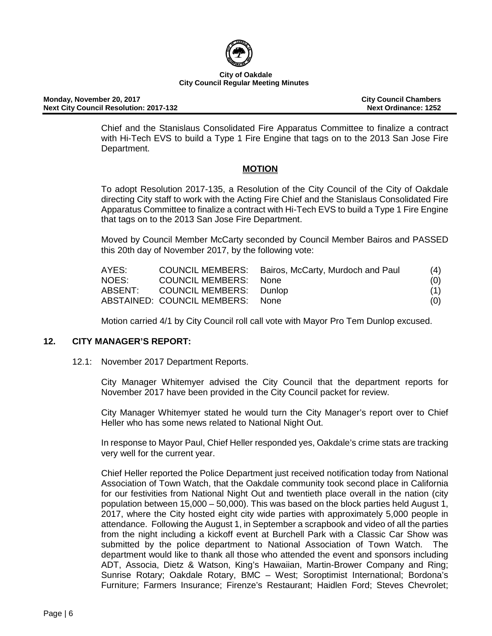

**Monday, November 20, 2017 City Council Chambers Next City Council Resolution: 2017-132** 

Chief and the Stanislaus Consolidated Fire Apparatus Committee to finalize a contract with Hi-Tech EVS to build a Type 1 Fire Engine that tags on to the 2013 San Jose Fire Department.

# **MOTION**

To adopt Resolution 2017-135, a Resolution of the City Council of the City of Oakdale directing City staff to work with the Acting Fire Chief and the Stanislaus Consolidated Fire Apparatus Committee to finalize a contract with Hi-Tech EVS to build a Type 1 Fire Engine that tags on to the 2013 San Jose Fire Department.

Moved by Council Member McCarty seconded by Council Member Bairos and PASSED this 20th day of November 2017, by the following vote:

| AYES: |                                  | COUNCIL MEMBERS: Bairos, McCarty, Murdoch and Paul | (4) |
|-------|----------------------------------|----------------------------------------------------|-----|
| NOES: | COUNCIL MEMBERS: None            |                                                    | (0) |
|       | ABSENT: COUNCIL MEMBERS: Dunlop  |                                                    | (1) |
|       | ABSTAINED: COUNCIL MEMBERS: None |                                                    | (0) |

Motion carried 4/1 by City Council roll call vote with Mayor Pro Tem Dunlop excused.

# **12. CITY MANAGER'S REPORT:**

12.1: November 2017 Department Reports.

City Manager Whitemyer advised the City Council that the department reports for November 2017 have been provided in the City Council packet for review.

City Manager Whitemyer stated he would turn the City Manager's report over to Chief Heller who has some news related to National Night Out.

In response to Mayor Paul, Chief Heller responded yes, Oakdale's crime stats are tracking very well for the current year.

Chief Heller reported the Police Department just received notification today from National Association of Town Watch, that the Oakdale community took second place in California for our festivities from National Night Out and twentieth place overall in the nation (city population between 15,000 – 50,000). This was based on the block parties held August 1, 2017, where the City hosted eight city wide parties with approximately 5,000 people in attendance. Following the August 1, in September a scrapbook and video of all the parties from the night including a kickoff event at Burchell Park with a Classic Car Show was submitted by the police department to National Association of Town Watch. The department would like to thank all those who attended the event and sponsors including ADT, Associa, Dietz & Watson, King's Hawaiian, Martin-Brower Company and Ring; Sunrise Rotary; Oakdale Rotary, BMC – West; Soroptimist International; Bordona's Furniture; Farmers Insurance; Firenze's Restaurant; Haidlen Ford; Steves Chevrolet;